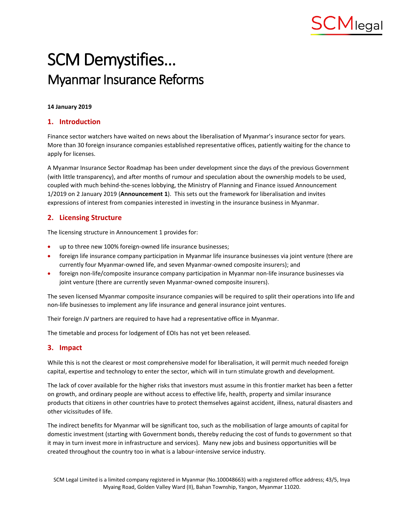

# SCM Demystifies… Myanmar Insurance Reforms

#### **14 January 2019**

#### **1. Introduction**

Finance sector watchers have waited on news about the liberalisation of Myanmar's insurance sector for years. More than 30 foreign insurance companies established representative offices, patiently waiting for the chance to apply for licenses.

A Myanmar Insurance Sector Roadmap has been under development since the days of the previous Government (with little transparency), and after months of rumour and speculation about the ownership models to be used, coupled with much behind-the-scenes lobbying, the Ministry of Planning and Finance issued Announcement 1/2019 on 2 January 2019 (**Announcement 1**). This sets out the framework for liberalisation and invites expressions of interest from companies interested in investing in the insurance business in Myanmar.

### **2. Licensing Structure**

The licensing structure in Announcement 1 provides for:

- up to three new 100% foreign-owned life insurance businesses;
- foreign life insurance company participation in Myanmar life insurance businesses via joint venture (there are currently four Myanmar-owned life, and seven Myanmar-owned composite insurers); and
- foreign non-life/composite insurance company participation in Myanmar non-life insurance businesses via joint venture (there are currently seven Myanmar-owned composite insurers).

The seven licensed Myanmar composite insurance companies will be required to split their operations into life and non-life businesses to implement any life insurance and general insurance joint ventures.

Their foreign JV partners are required to have had a representative office in Myanmar.

The timetable and process for lodgement of EOIs has not yet been released.

### **3. Impact**

While this is not the clearest or most comprehensive model for liberalisation, it will permit much needed foreign capital, expertise and technology to enter the sector, which will in turn stimulate growth and development.

The lack of cover available for the higher risks that investors must assume in this frontier market has been a fetter on growth, and ordinary people are without access to effective life, health, property and similar insurance products that citizens in other countries have to protect themselves against accident, illness, natural disasters and other vicissitudes of life.

The indirect benefits for Myanmar will be significant too, such as the mobilisation of large amounts of capital for domestic investment (starting with Government bonds, thereby reducing the cost of funds to government so that it may in turn invest more in infrastructure and services). Many new jobs and business opportunities will be created throughout the country too in what is a labour-intensive service industry.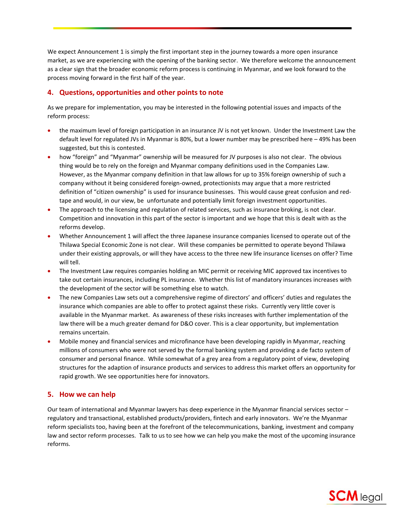We expect Announcement 1 is simply the first important step in the journey towards a more open insurance market, as we are experiencing with the opening of the banking sector. We therefore welcome the announcement as a clear sign that the broader economic reform process is continuing in Myanmar, and we look forward to the process moving forward in the first half of the year.

## **4. Questions, opportunities and other points to note**

As we prepare for implementation, you may be interested in the following potential issues and impacts of the reform process:

- the maximum level of foreign participation in an insurance JV is not yet known. Under the Investment Law the default level for regulated JVs in Myanmar is 80%, but a lower number may be prescribed here – 49% has been suggested, but this is contested.
- how "foreign" and "Myanmar" ownership will be measured for JV purposes is also not clear. The obvious thing would be to rely on the foreign and Myanmar company definitions used in the Companies Law. However, as the Myanmar company definition in that law allows for up to 35% foreign ownership of such a company without it being considered foreign-owned, protectionists may argue that a more restricted definition of "citizen ownership" is used for insurance businesses. This would cause great confusion and redtape and would, in our view, be unfortunate and potentially limit foreign investment opportunities.
- The approach to the licensing and regulation of related services, such as insurance broking, is not clear. Competition and innovation in this part of the sector is important and we hope that this is dealt with as the reforms develop.
- Whether Announcement 1 will affect the three Japanese insurance companies licensed to operate out of the Thilawa Special Economic Zone is not clear. Will these companies be permitted to operate beyond Thilawa under their existing approvals, or will they have access to the three new life insurance licenses on offer? Time will tell.
- The Investment Law requires companies holding an MIC permit or receiving MIC approved tax incentives to take out certain insurances, including PL insurance. Whether this list of mandatory insurances increases with the development of the sector will be something else to watch.
- The new Companies Law sets out a comprehensive regime of directors' and officers' duties and regulates the insurance which companies are able to offer to protect against these risks. Currently very little cover is available in the Myanmar market. As awareness of these risks increases with further implementation of the law there will be a much greater demand for D&O cover. This is a clear opportunity, but implementation remains uncertain.
- Mobile money and financial services and microfinance have been developing rapidly in Myanmar, reaching millions of consumers who were not served by the formal banking system and providing a de facto system of consumer and personal finance. While somewhat of a grey area from a regulatory point of view, developing structures for the adaption of insurance products and services to address this market offers an opportunity for rapid growth. We see opportunities here for innovators.

## **5. How we can help**

Our team of international and Myanmar lawyers has deep experience in the Myanmar financial services sector – regulatory and transactional, established products/providers, fintech and early innovators. We're the Myanmar reform specialists too, having been at the forefront of the telecommunications, banking, investment and company law and sector reform processes. Talk to us to see how we can help you make the most of the upcoming insurance reforms.